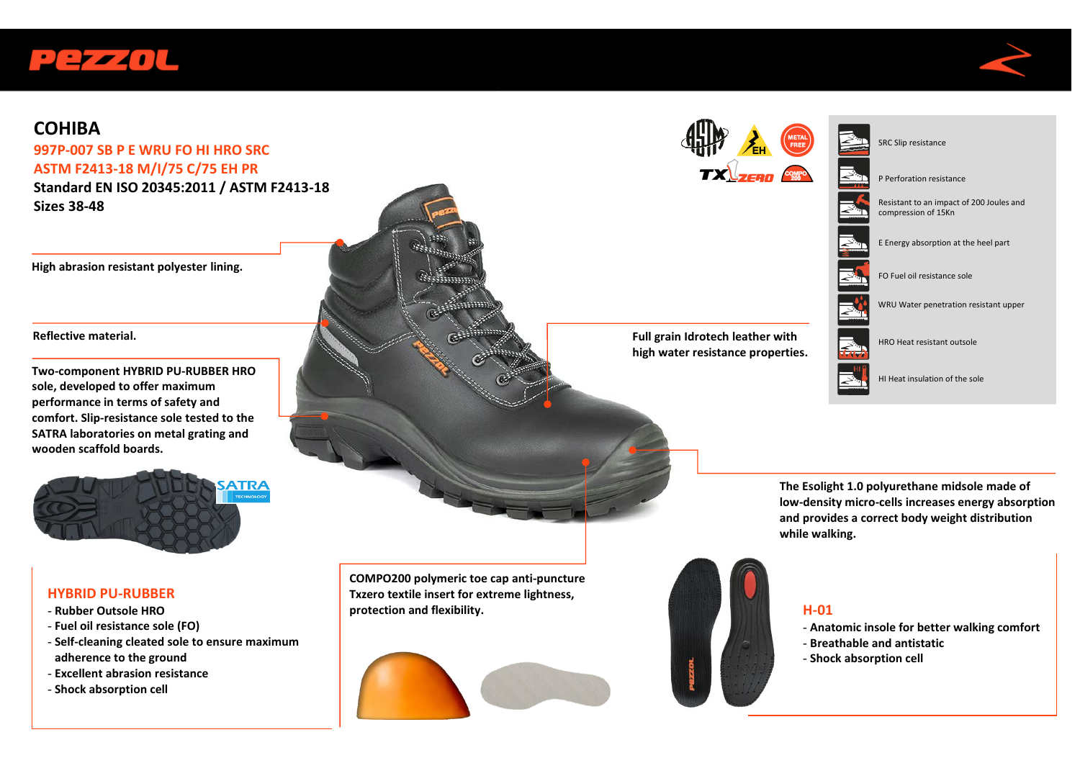



## **COHIBA**

## **997P-007 SB P E WRU FO HI HRO SRC ASTM F2413-18 M/I/75 C/75 EH PR**

**Standard EN ISO 20345:2011 / ASTM F2413-18 Sizes 38-48**

**High abrasion resistant polyester lining.** 

#### **Reflective material.**

**Two-component HYBRID PU-RUBBER HRO sole, developed to offer maximum performance in terms of safety and comfort. Slip-resistance sole tested to the SATRA laboratories on metal grating and wooden scaffold boards.**



#### **HYBRID PU-RUBBER**

- **Rubber Outsole HRO**
- **Fuel oil resistance sole (FO)**
- **Self-cleaning cleated sole to ensure maximum adherence to the ground**
- **Excellent abrasion resistance**
- **Shock absorption cell**



**The Esolight 1.0 polyurethane midsole made of low-density micro-cells increases energy absorption and provides a correct body weight distribution while walking.** 



**COMPO200 polymeric toe cap anti-puncture Txzero textile insert for extreme lightness,** 

**protection and flexibility.**

### **H-01**

- **Anatomic insole for better walking comfort**
- **Breathable and antistatic**
- **Shock absorption cell**